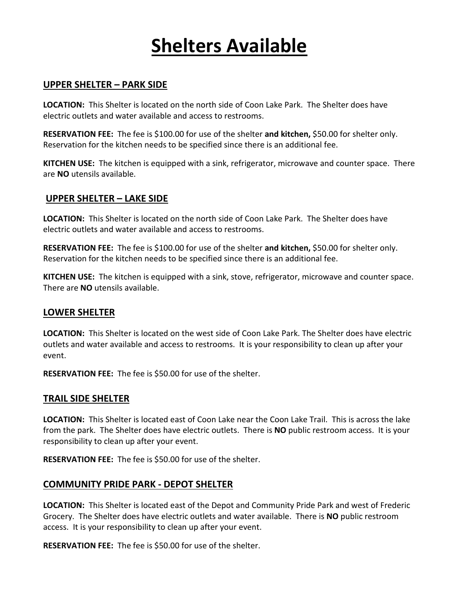# **Shelters Available**

### **UPPER SHELTER – PARK SIDE**

**LOCATION:** This Shelter is located on the north side of Coon Lake Park. The Shelter does have electric outlets and water available and access to restrooms.

**RESERVATION FEE:** The fee is \$100.00 for use of the shelter **and kitchen,** \$50.00 for shelter only. Reservation for the kitchen needs to be specified since there is an additional fee.

**KITCHEN USE:** The kitchen is equipped with a sink, refrigerator, microwave and counter space. There are **NO** utensils available.

#### **UPPER SHELTER – LAKE SIDE**

**LOCATION:** This Shelter is located on the north side of Coon Lake Park. The Shelter does have electric outlets and water available and access to restrooms.

**RESERVATION FEE:** The fee is \$100.00 for use of the shelter **and kitchen,** \$50.00 for shelter only. Reservation for the kitchen needs to be specified since there is an additional fee.

**KITCHEN USE:** The kitchen is equipped with a sink, stove, refrigerator, microwave and counter space. There are **NO** utensils available.

### **LOWER SHELTER**

**LOCATION:** This Shelter is located on the west side of Coon Lake Park. The Shelter does have electric outlets and water available and access to restrooms. It is your responsibility to clean up after your event.

**RESERVATION FEE:** The fee is \$50.00 for use of the shelter.

### **TRAIL SIDE SHELTER**

**LOCATION:** This Shelter is located east of Coon Lake near the Coon Lake Trail. This is across the lake from the park. The Shelter does have electric outlets. There is **NO** public restroom access. It is your responsibility to clean up after your event.

**RESERVATION FEE:** The fee is \$50.00 for use of the shelter.

### **COMMUNITY PRIDE PARK - DEPOT SHELTER**

**LOCATION:** This Shelter is located east of the Depot and Community Pride Park and west of Frederic Grocery. The Shelter does have electric outlets and water available. There is **NO** public restroom access. It is your responsibility to clean up after your event.

**RESERVATION FEE:** The fee is \$50.00 for use of the shelter.